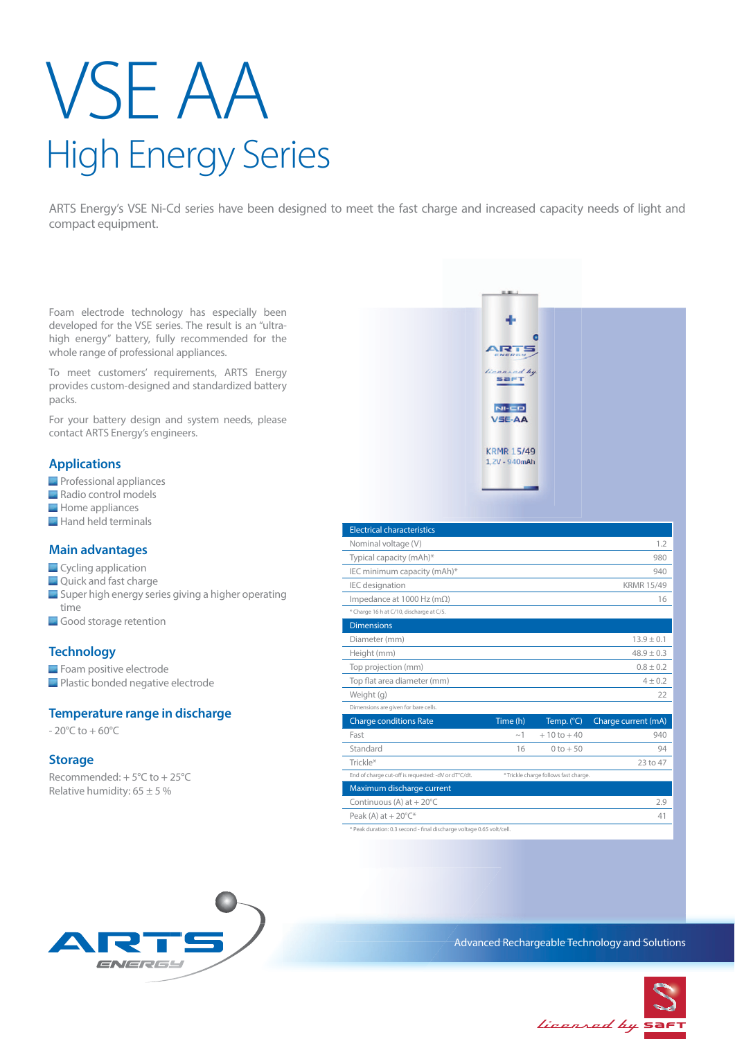# VSE AA High Energy Series

ARTS Energy's VSE Ni-Cd series have been designed to meet the fast charge and increased capacity needs of light and compact equipment.

Foam electrode technology has especially been developed for the VSE series. The result is an "ultrahigh energy" battery, fully recommended for the whole range of professional appliances.

To meet customers' requirements, ARTS Energy provides custom-designed and standardized battery packs.

For your battery design and system needs, please contact ARTS Energy's engineers.

## **Applications**

- **Professional appliances**
- Radio control models
- Home appliances
- Hand held terminals

# **Main advantages**

- **Cycling application**
- **Quick and fast charge**
- **Super high energy series giving a higher operating** time
- Good storage retention

# **Technology**

Foam positive electrode **Plastic bonded negative electrode** 

### **Temperature range in discharge**

 $-20^{\circ}$ C to  $+60^{\circ}$ C

### **Storage**

Recommended: + 5°C to + 25°C Relative humidity:  $65 \pm 5 \%$ 



\* Peak duration: 0.3 second - final discharge voltage 0.65 volt/cell.